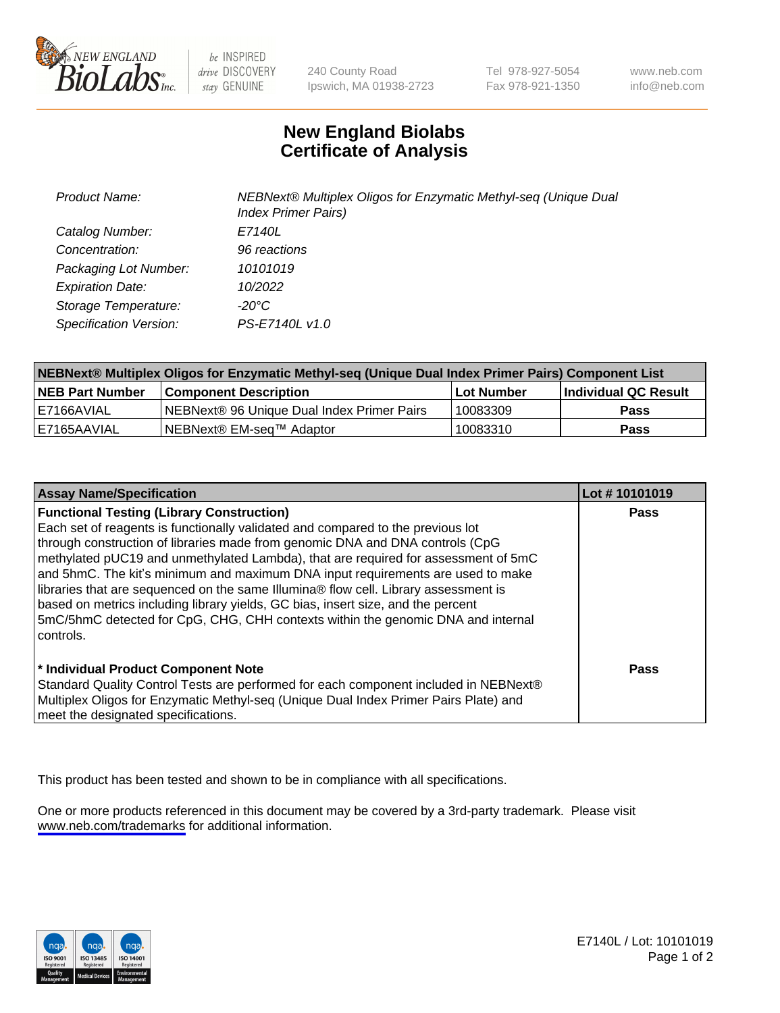

be INSPIRED drive DISCOVERY stay GENUINE

240 County Road Ipswich, MA 01938-2723 Tel 978-927-5054 Fax 978-921-1350

www.neb.com info@neb.com

## **New England Biolabs Certificate of Analysis**

| <b>Product Name:</b>    | NEBNext® Multiplex Oligos for Enzymatic Methyl-seq (Unique Dual<br><b>Index Primer Pairs)</b> |
|-------------------------|-----------------------------------------------------------------------------------------------|
| Catalog Number:         | E7140L                                                                                        |
| Concentration:          | 96 reactions                                                                                  |
| Packaging Lot Number:   | 10101019                                                                                      |
| <b>Expiration Date:</b> | 10/2022                                                                                       |
| Storage Temperature:    | -20°C                                                                                         |
| Specification Version:  | PS-E7140L v1.0                                                                                |

| NEBNext® Multiplex Oligos for Enzymatic Methyl-seq (Unique Dual Index Primer Pairs) Component List |                                                   |              |                      |  |
|----------------------------------------------------------------------------------------------------|---------------------------------------------------|--------------|----------------------|--|
| <b>NEB Part Number</b>                                                                             | <b>Component Description</b>                      | l Lot Number | Individual QC Result |  |
| I E7166AVIAL                                                                                       | <b>NEBNext® 96 Unique Dual Index Primer Pairs</b> | 10083309     | Pass                 |  |
| I E7165AAVIAL                                                                                      | NEBNext® EM-seq™ Adaptor                          | 10083310     | <b>Pass</b>          |  |

| <b>Assay Name/Specification</b>                                                      | Lot #10101019 |
|--------------------------------------------------------------------------------------|---------------|
| <b>Functional Testing (Library Construction)</b>                                     | <b>Pass</b>   |
| Each set of reagents is functionally validated and compared to the previous lot      |               |
| through construction of libraries made from genomic DNA and DNA controls (CpG        |               |
| methylated pUC19 and unmethylated Lambda), that are required for assessment of 5mC   |               |
| and 5hmC. The kit's minimum and maximum DNA input requirements are used to make      |               |
| libraries that are sequenced on the same Illumina® flow cell. Library assessment is  |               |
| based on metrics including library yields, GC bias, insert size, and the percent     |               |
| 5mC/5hmC detected for CpG, CHG, CHH contexts within the genomic DNA and internal     |               |
| controls.                                                                            |               |
|                                                                                      |               |
| * Individual Product Component Note                                                  | Pass          |
| Standard Quality Control Tests are performed for each component included in NEBNext® |               |
| Multiplex Oligos for Enzymatic Methyl-seq (Unique Dual Index Primer Pairs Plate) and |               |
| meet the designated specifications.                                                  |               |

This product has been tested and shown to be in compliance with all specifications.

One or more products referenced in this document may be covered by a 3rd-party trademark. Please visit <www.neb.com/trademarks>for additional information.